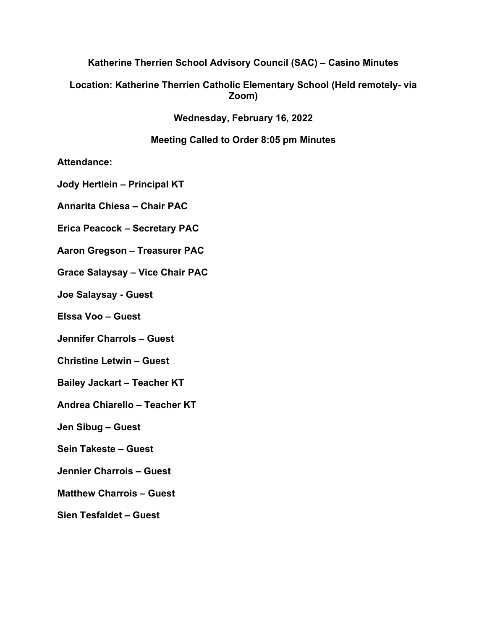## **Katherine Therrien School Advisory Council (SAC) – Casino Minutes**

## **Location: Katherine Therrien Catholic Elementary School (Held remotely- via Zoom)**

**Wednesday, February 16, 2022**

## **Meeting Called to Order 8:05 pm Minutes**

**Attendance:** 

**Jody Hertlein – Principal KT**

**Annarita Chiesa – Chair PAC**

**Erica Peacock – Secretary PAC**

**Aaron Gregson – Treasurer PAC**

**Grace Salaysay – Vice Chair PAC**

**Joe Salaysay - Guest**

**Elssa Voo – Guest**

**Jennifer Charrols – Guest**

**Christine Letwin – Guest**

**Bailey Jackart – Teacher KT**

**Andrea Chiarello – Teacher KT**

**Jen Sibug – Guest**

**Sein Takeste – Guest**

**Jennier Charrois – Guest**

**Matthew Charrois – Guest**

**Sien Tesfaldet – Guest**